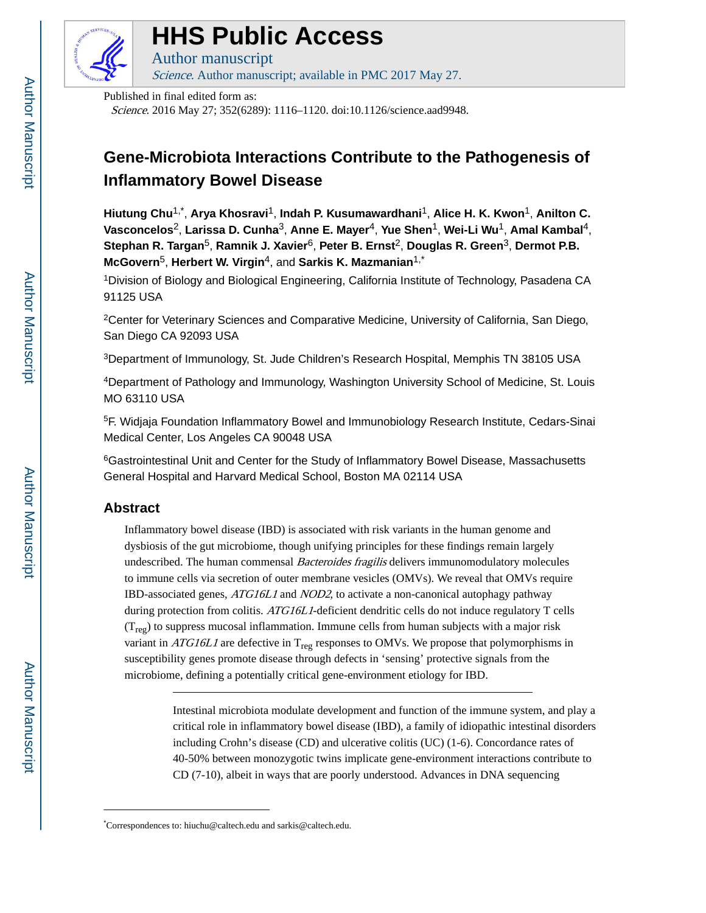

# **HHS Public Access**

Author manuscript Science. Author manuscript; available in PMC 2017 May 27.

Published in final edited form as:

Science. 2016 May 27; 352(6289): 1116–1120. doi:10.1126/science.aad9948.

## **Gene-Microbiota Interactions Contribute to the Pathogenesis of Inflammatory Bowel Disease**

**Hiutung Chu**1,\* , **Arya Khosravi**1, **Indah P. Kusumawardhani**1, **Alice H. K. Kwon**1, **Anilton C. Vasconcelos**2, **Larissa D. Cunha**3, **Anne E. Mayer**4, **Yue Shen**1, **Wei-Li Wu**1, **Amal Kambal**4, **Stephan R. Targan**5, **Ramnik J. Xavier**6, **Peter B. Ernst**2, **Douglas R. Green**3, **Dermot P.B. McGovern**5, **Herbert W. Virgin**4, and **Sarkis K. Mazmanian**1,\*

<sup>1</sup>Division of Biology and Biological Engineering, California Institute of Technology, Pasadena CA 91125 USA

<sup>2</sup>Center for Veterinary Sciences and Comparative Medicine, University of California, San Diego, San Diego CA 92093 USA

<sup>3</sup>Department of Immunology, St. Jude Children's Research Hospital, Memphis TN 38105 USA

<sup>4</sup>Department of Pathology and Immunology, Washington University School of Medicine, St. Louis MO 63110 USA

<sup>5</sup>F. Widjaja Foundation Inflammatory Bowel and Immunobiology Research Institute, Cedars-Sinai Medical Center, Los Angeles CA 90048 USA

<sup>6</sup>Gastrointestinal Unit and Center for the Study of Inflammatory Bowel Disease, Massachusetts General Hospital and Harvard Medical School, Boston MA 02114 USA

### **Abstract**

Inflammatory bowel disease (IBD) is associated with risk variants in the human genome and dysbiosis of the gut microbiome, though unifying principles for these findings remain largely undescribed. The human commensal *Bacteroides fragilis* delivers immunomodulatory molecules to immune cells via secretion of outer membrane vesicles (OMVs). We reveal that OMVs require IBD-associated genes, ATG16L1 and NOD2, to activate a non-canonical autophagy pathway during protection from colitis. ATG16L1-deficient dendritic cells do not induce regulatory T cells  $(T_{\text{reg}})$  to suppress mucosal inflammation. Immune cells from human subjects with a major risk variant in  $ATG16L1$  are defective in  $T_{reg}$  responses to OMVs. We propose that polymorphisms in susceptibility genes promote disease through defects in 'sensing' protective signals from the microbiome, defining a potentially critical gene-environment etiology for IBD.

> Intestinal microbiota modulate development and function of the immune system, and play a critical role in inflammatory bowel disease (IBD), a family of idiopathic intestinal disorders including Crohn's disease (CD) and ulcerative colitis (UC) (1-6). Concordance rates of 40-50% between monozygotic twins implicate gene-environment interactions contribute to CD (7-10), albeit in ways that are poorly understood. Advances in DNA sequencing

<sup>\*</sup>Correspondences to: hiuchu@caltech.edu and sarkis@caltech.edu.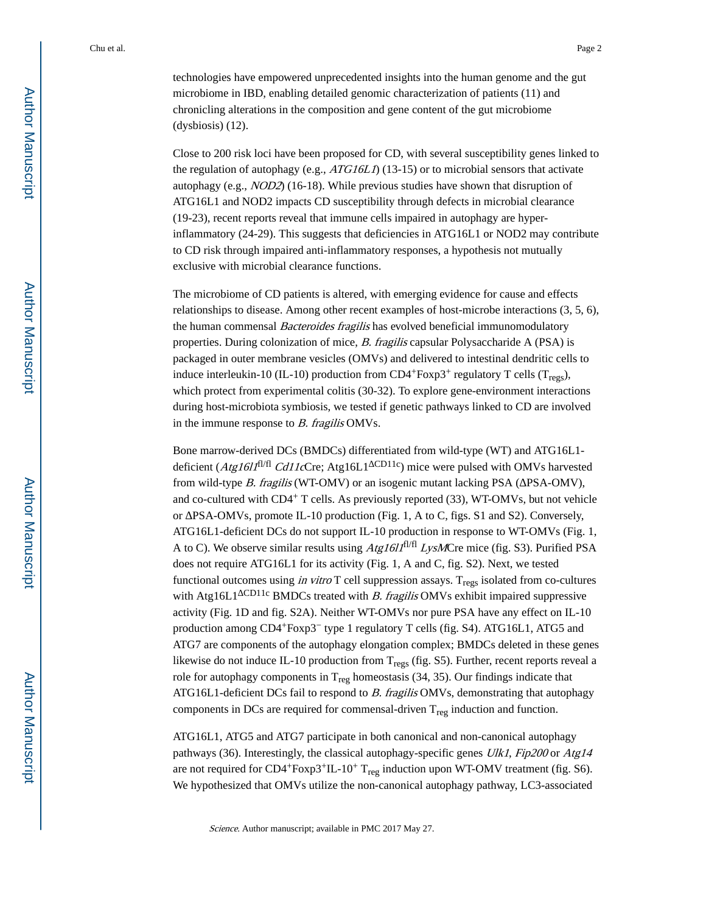technologies have empowered unprecedented insights into the human genome and the gut microbiome in IBD, enabling detailed genomic characterization of patients (11) and chronicling alterations in the composition and gene content of the gut microbiome (dysbiosis) (12).

Close to 200 risk loci have been proposed for CD, with several susceptibility genes linked to the regulation of autophagy (e.g.,  $ATG16LI$ ) (13-15) or to microbial sensors that activate autophagy (e.g., NOD2) (16-18). While previous studies have shown that disruption of ATG16L1 and NOD2 impacts CD susceptibility through defects in microbial clearance (19-23), recent reports reveal that immune cells impaired in autophagy are hyperinflammatory (24-29). This suggests that deficiencies in ATG16L1 or NOD2 may contribute to CD risk through impaired anti-inflammatory responses, a hypothesis not mutually exclusive with microbial clearance functions.

The microbiome of CD patients is altered, with emerging evidence for cause and effects relationships to disease. Among other recent examples of host-microbe interactions (3, 5, 6), the human commensal *Bacteroides fragilis* has evolved beneficial immunomodulatory properties. During colonization of mice, B. fragilis capsular Polysaccharide A (PSA) is packaged in outer membrane vesicles (OMVs) and delivered to intestinal dendritic cells to induce interleukin-10 (IL-10) production from  $CD4+Foxp3+$  regulatory T cells (T<sub>regs</sub>), which protect from experimental colitis (30-32). To explore gene-environment interactions during host-microbiota symbiosis, we tested if genetic pathways linked to CD are involved in the immune response to  $B$ . fragilis OMVs.

Bone marrow-derived DCs (BMDCs) differentiated from wild-type (WT) and ATG16L1 deficient ( $Atgl 61<sup>f</sup>$ l<sup>fl/fl</sup> Cd11cCre; Atg16L1<sup>CD11c</sup>) mice were pulsed with OMVs harvested from wild-type  $B$ . fragilis (WT-OMV) or an isogenic mutant lacking PSA ( $PSA-OMV$ ), and co-cultured with  $CD4^+$  T cells. As previously reported (33), WT-OMVs, but not vehicle or  $PSA-OMVs$ , promote IL-10 production (Fig. 1, A to C, figs. S1 and S2). Conversely, ATG16L1-deficient DCs do not support IL-10 production in response to WT-OMVs (Fig. 1, A to C). We observe similar results using  $A$ tg1611<sup>fl/fl</sup> LysMCre mice (fig. S3). Purified PSA does not require ATG16L1 for its activity (Fig. 1, A and C, fig. S2). Next, we tested functional outcomes using in vitro T cell suppression assays.  $T_{\text{regs}}$  isolated from co-cultures with Atg16L1 CD11c BMDCs treated with B. fragilis OMVs exhibit impaired suppressive activity (Fig. 1D and fig. S2A). Neither WT-OMVs nor pure PSA have any effect on IL-10 production among CD4+Foxp3− type 1 regulatory T cells (fig. S4). ATG16L1, ATG5 and ATG7 are components of the autophagy elongation complex; BMDCs deleted in these genes likewise do not induce IL-10 production from  $T_{regs}$  (fig. S5). Further, recent reports reveal a role for autophagy components in  $T_{reg}$  homeostasis (34, 35). Our findings indicate that ATG16L1-deficient DCs fail to respond to B. fragilis OMVs, demonstrating that autophagy components in DCs are required for commensal-driven  $T_{reg}$  induction and function.

ATG16L1, ATG5 and ATG7 participate in both canonical and non-canonical autophagy pathways (36). Interestingly, the classical autophagy-specific genes Ulk1, Fip200 or Atg14 are not required for CD4+Foxp3+IL-10+  $T_{reg}$  induction upon WT-OMV treatment (fig. S6). We hypothesized that OMVs utilize the non-canonical autophagy pathway, LC3-associated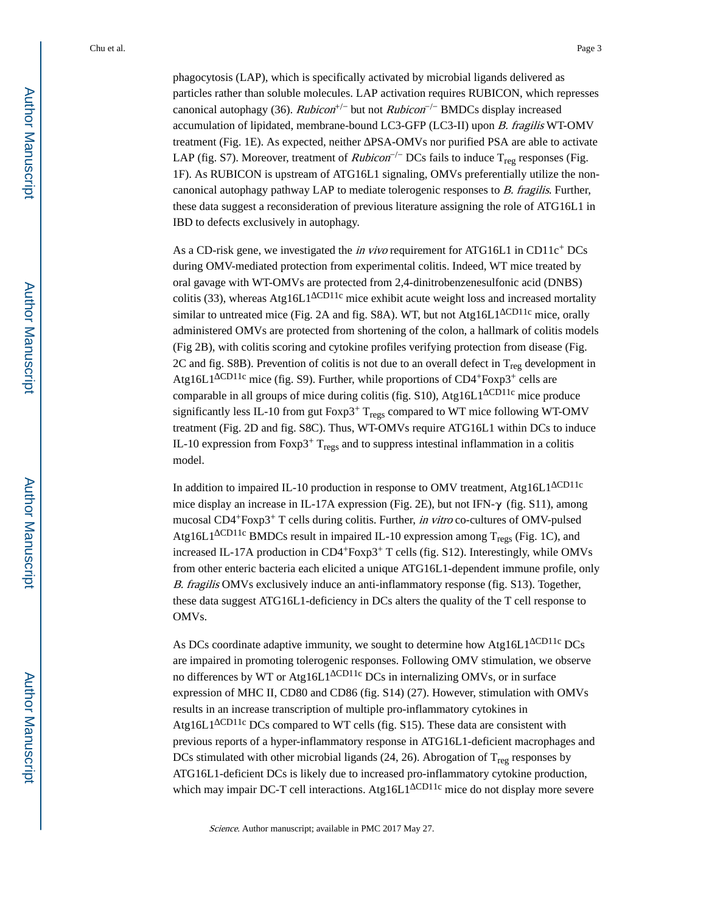phagocytosis (LAP), which is specifically activated by microbial ligands delivered as particles rather than soluble molecules. LAP activation requires RUBICON, which represses canonical autophagy (36).  $Rubicon^{+/-}$  but not  $Rubicon^{-/-}$  BMDCs display increased accumulation of lipidated, membrane-bound LC3-GFP (LC3-II) upon B. fragilis WT-OMV treatment (Fig. 1E). As expected, neither PSA-OMVs nor purified PSA are able to activate LAP (fig. S7). Moreover, treatment of *Rubicon*<sup>-/-</sup> DCs fails to induce T<sub>reg</sub> responses (Fig. 1F). As RUBICON is upstream of ATG16L1 signaling, OMVs preferentially utilize the noncanonical autophagy pathway LAP to mediate tolerogenic responses to B. fragilis. Further, these data suggest a reconsideration of previous literature assigning the role of ATG16L1 in IBD to defects exclusively in autophagy.

As a CD-risk gene, we investigated the *in vivo* requirement for ATG16L1 in CD11 $c<sup>+</sup>$  DCs during OMV-mediated protection from experimental colitis. Indeed, WT mice treated by oral gavage with WT-OMVs are protected from 2,4-dinitrobenzenesulfonic acid (DNBS) colitis (33), whereas Atg16L1<sup>CD11c</sup> mice exhibit acute weight loss and increased mortality similar to untreated mice (Fig. 2A and fig. S8A). WT, but not Atg16L1 CD11c mice, orally administered OMVs are protected from shortening of the colon, a hallmark of colitis models (Fig 2B), with colitis scoring and cytokine profiles verifying protection from disease (Fig. 2C and fig. S8B). Prevention of colitis is not due to an overall defect in  $T_{\text{reg}}$  development in Atg16L1 CD11c mice (fig. S9). Further, while proportions of CD4+Foxp3+ cells are comparable in all groups of mice during colitis (fig. S10), Atg16L1<sup>CD11c</sup> mice produce significantly less IL-10 from gut Foxp3<sup>+</sup> T<sub>regs</sub> compared to WT mice following WT-OMV treatment (Fig. 2D and fig. S8C). Thus, WT-OMVs require ATG16L1 within DCs to induce IL-10 expression from Foxp3<sup>+</sup>  $T_{regs}$  and to suppress intestinal inflammation in a colitis model.

In addition to impaired IL-10 production in response to OMV treatment, Atg16L1 CD11c mice display an increase in IL-17A expression (Fig. 2E), but not IFN-γ (fig. S11), among mucosal CD4+Foxp3+ T cells during colitis. Further, in vitro co-cultures of OMV-pulsed Atg16L1 CD11c BMDCs result in impaired IL-10 expression among  $T_{\text{regs}}$  (Fig. 1C), and increased IL-17A production in CD4+Foxp3+ T cells (fig. S12). Interestingly, while OMVs from other enteric bacteria each elicited a unique ATG16L1-dependent immune profile, only B. fragilis OMVs exclusively induce an anti-inflammatory response (fig. S13). Together, these data suggest ATG16L1-deficiency in DCs alters the quality of the T cell response to OMVs.

As DCs coordinate adaptive immunity, we sought to determine how Atg16L1<sup>CD11c</sup> DCs are impaired in promoting tolerogenic responses. Following OMV stimulation, we observe no differences by WT or Atg16L1<sup>CD11c</sup> DCs in internalizing OMVs, or in surface expression of MHC II, CD80 and CD86 (fig. S14) (27). However, stimulation with OMVs results in an increase transcription of multiple pro-inflammatory cytokines in Atg16L1  $\text{CD11c}$  DCs compared to WT cells (fig. S15). These data are consistent with previous reports of a hyper-inflammatory response in ATG16L1-deficient macrophages and DCs stimulated with other microbial ligands  $(24, 26)$ . Abrogation of T<sub>reg</sub> responses by ATG16L1-deficient DCs is likely due to increased pro-inflammatory cytokine production, which may impair DC-T cell interactions. Atg16L1  $\frac{\text{CD11c}}{\text{mice}}$  do not display more severe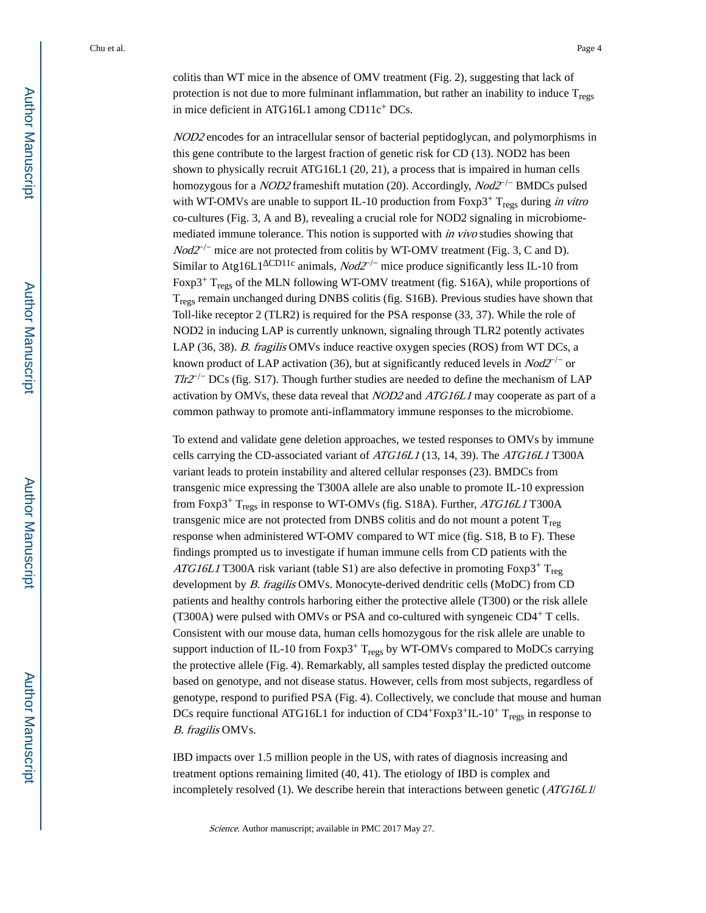colitis than WT mice in the absence of OMV treatment (Fig. 2), suggesting that lack of protection is not due to more fulminant inflammation, but rather an inability to induce  $T_{\text{res}}$ in mice deficient in ATG16L1 among CD11c+ DCs.

NOD2 encodes for an intracellular sensor of bacterial peptidoglycan, and polymorphisms in this gene contribute to the largest fraction of genetic risk for CD (13). NOD2 has been shown to physically recruit ATG16L1 (20, 21), a process that is impaired in human cells homozygous for a *NOD2* frameshift mutation (20). Accordingly, *Nod2<sup>-/−</sup>* BMDCs pulsed with WT-OMVs are unable to support IL-10 production from Foxp3<sup>+</sup> T<sub>regs</sub> during in vitro co-cultures (Fig. 3, A and B), revealing a crucial role for NOD2 signaling in microbiomemediated immune tolerance. This notion is supported with in vivo studies showing that  $Nod2^{-/-}$  mice are not protected from colitis by WT-OMV treatment (Fig. 3, C and D). Similar to Atg16L1 <sup>CD11c</sup> animals,  $Nod2^{-/-}$  mice produce significantly less IL-10 from Foxp3<sup>+</sup> T<sub>regs</sub> of the MLN following WT-OMV treatment (fig. S16A), while proportions of Tregs remain unchanged during DNBS colitis (fig. S16B). Previous studies have shown that Toll-like receptor 2 (TLR2) is required for the PSA response (33, 37). While the role of NOD2 in inducing LAP is currently unknown, signaling through TLR2 potently activates LAP (36, 38). B. fragilis OMVs induce reactive oxygen species (ROS) from WT DCs, a known product of LAP activation (36), but at significantly reduced levels in  $Nod2^{-/-}$  or  $T\frac{Ir2^{-}}{}$  DCs (fig. S17). Though further studies are needed to define the mechanism of LAP activation by OMVs, these data reveal that NOD2 and ATG16L1 may cooperate as part of a common pathway to promote anti-inflammatory immune responses to the microbiome.

To extend and validate gene deletion approaches, we tested responses to OMVs by immune cells carrying the CD-associated variant of ATG16L1 (13, 14, 39). The ATG16L1 T300A variant leads to protein instability and altered cellular responses (23). BMDCs from transgenic mice expressing the T300A allele are also unable to promote IL-10 expression from Foxp3<sup>+</sup> T<sub>regs</sub> in response to WT-OMVs (fig. S18A). Further,  $ATG16L1$  T300A transgenic mice are not protected from DNBS colitis and do not mount a potent  $T_{\text{reg}}$ response when administered WT-OMV compared to WT mice (fig. S18, B to F). These findings prompted us to investigate if human immune cells from CD patients with the ATG16L1 T300A risk variant (table S1) are also defective in promoting Foxp3<sup>+</sup> T<sub>reg</sub> development by B. fragilis OMVs. Monocyte-derived dendritic cells (MoDC) from CD patients and healthy controls harboring either the protective allele (T300) or the risk allele (T300A) were pulsed with OMVs or PSA and co-cultured with syngeneic  $CD4^+$  T cells. Consistent with our mouse data, human cells homozygous for the risk allele are unable to support induction of IL-10 from Foxp3<sup>+</sup> T<sub>regs</sub> by WT-OMVs compared to MoDCs carrying the protective allele (Fig. 4). Remarkably, all samples tested display the predicted outcome based on genotype, and not disease status. However, cells from most subjects, regardless of genotype, respond to purified PSA (Fig. 4). Collectively, we conclude that mouse and human DCs require functional ATG16L1 for induction of  $CD4+F\alpha p3+IL-10+T_{regs}$  in response to B. fragilis OMVs.

IBD impacts over 1.5 million people in the US, with rates of diagnosis increasing and treatment options remaining limited (40, 41). The etiology of IBD is complex and incompletely resolved (1). We describe herein that interactions between genetic (ATG16L1/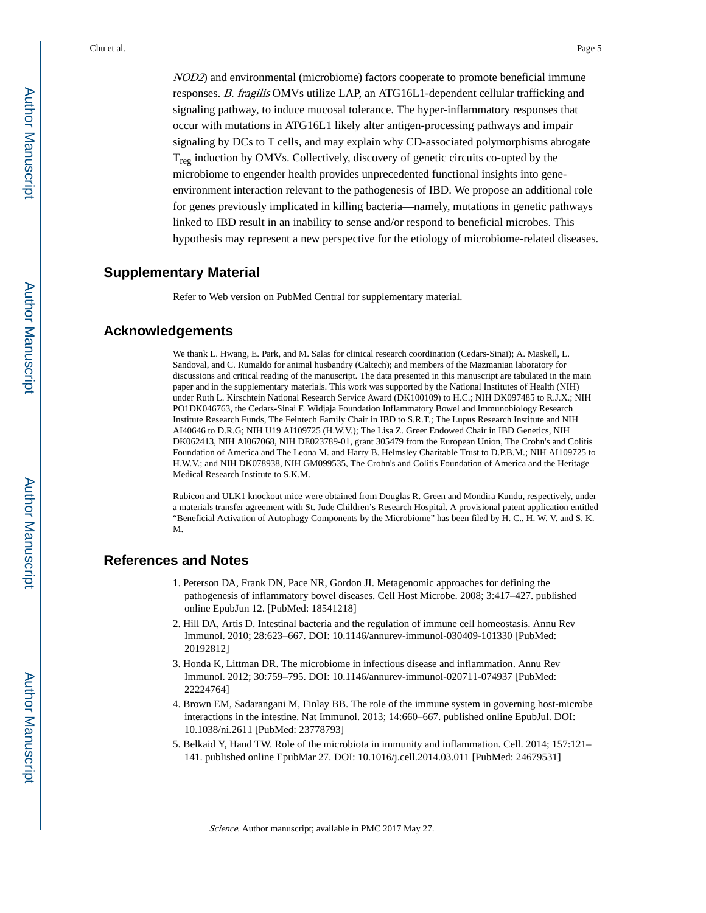NOD2) and environmental (microbiome) factors cooperate to promote beneficial immune responses. B. fragilis OMVs utilize LAP, an ATG16L1-dependent cellular trafficking and signaling pathway, to induce mucosal tolerance. The hyper-inflammatory responses that occur with mutations in ATG16L1 likely alter antigen-processing pathways and impair signaling by DCs to T cells, and may explain why CD-associated polymorphisms abrogate  $T_{\text{reg}}$  induction by OMVs. Collectively, discovery of genetic circuits co-opted by the microbiome to engender health provides unprecedented functional insights into geneenvironment interaction relevant to the pathogenesis of IBD. We propose an additional role for genes previously implicated in killing bacteria—namely, mutations in genetic pathways linked to IBD result in an inability to sense and/or respond to beneficial microbes. This hypothesis may represent a new perspective for the etiology of microbiome-related diseases.

#### **Supplementary Material**

Refer to Web version on PubMed Central for supplementary material.

#### **Acknowledgements**

We thank L. Hwang, E. Park, and M. Salas for clinical research coordination (Cedars-Sinai); A. Maskell, L. Sandoval, and C. Rumaldo for animal husbandry (Caltech); and members of the Mazmanian laboratory for discussions and critical reading of the manuscript. The data presented in this manuscript are tabulated in the main paper and in the supplementary materials. This work was supported by the National Institutes of Health (NIH) under Ruth L. Kirschtein National Research Service Award (DK100109) to H.C.; NIH DK097485 to R.J.X.; NIH PO1DK046763, the Cedars-Sinai F. Widjaja Foundation Inflammatory Bowel and Immunobiology Research Institute Research Funds, The Feintech Family Chair in IBD to S.R.T.; The Lupus Research Institute and NIH AI40646 to D.R.G; NIH U19 AI109725 (H.W.V.); The Lisa Z. Greer Endowed Chair in IBD Genetics, NIH DK062413, NIH AI067068, NIH DE023789-01, grant 305479 from the European Union, The Crohn's and Colitis Foundation of America and The Leona M. and Harry B. Helmsley Charitable Trust to D.P.B.M.; NIH AI109725 to H.W.V.; and NIH DK078938, NIH GM099535, The Crohn's and Colitis Foundation of America and the Heritage Medical Research Institute to S.K.M.

Rubicon and ULK1 knockout mice were obtained from Douglas R. Green and Mondira Kundu, respectively, under a materials transfer agreement with St. Jude Children's Research Hospital. A provisional patent application entitled "Beneficial Activation of Autophagy Components by the Microbiome" has been filed by H. C., H. W. V. and S. K. M.

#### **References and Notes**

- 1. Peterson DA, Frank DN, Pace NR, Gordon JI. Metagenomic approaches for defining the pathogenesis of inflammatory bowel diseases. Cell Host Microbe. 2008; 3:417–427. published online EpubJun 12. [PubMed: 18541218]
- 2. Hill DA, Artis D. Intestinal bacteria and the regulation of immune cell homeostasis. Annu Rev Immunol. 2010; 28:623–667. DOI: 10.1146/annurev-immunol-030409-101330 [PubMed: 20192812]
- 3. Honda K, Littman DR. The microbiome in infectious disease and inflammation. Annu Rev Immunol. 2012; 30:759–795. DOI: 10.1146/annurev-immunol-020711-074937 [PubMed: 22224764]
- 4. Brown EM, Sadarangani M, Finlay BB. The role of the immune system in governing host-microbe interactions in the intestine. Nat Immunol. 2013; 14:660–667. published online EpubJul. DOI: 10.1038/ni.2611 [PubMed: 23778793]
- 5. Belkaid Y, Hand TW. Role of the microbiota in immunity and inflammation. Cell. 2014; 157:121– 141. published online EpubMar 27. DOI: 10.1016/j.cell.2014.03.011 [PubMed: 24679531]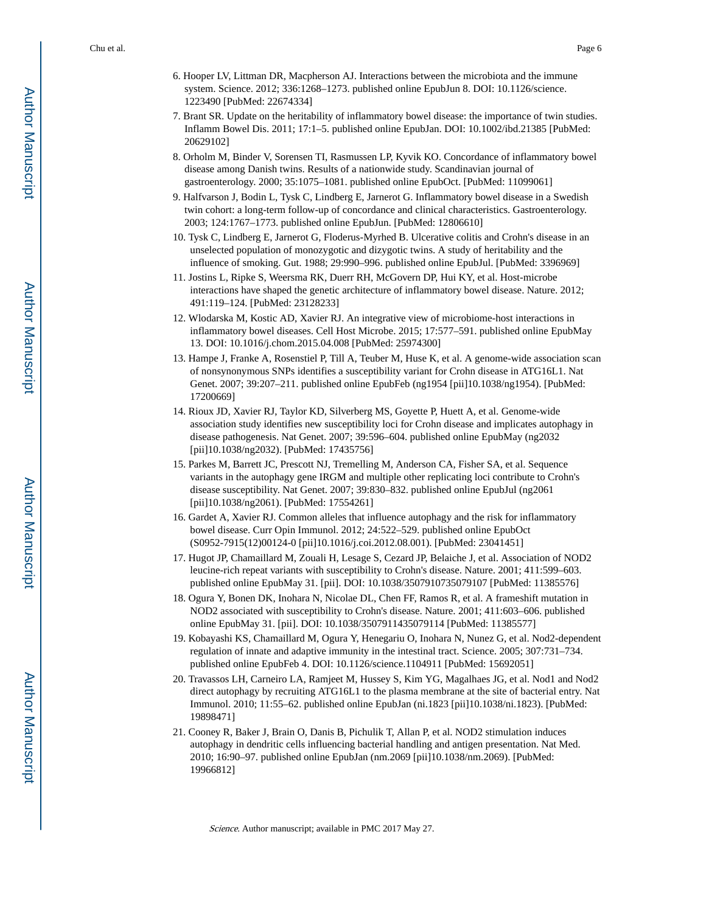- 6. Hooper LV, Littman DR, Macpherson AJ. Interactions between the microbiota and the immune system. Science. 2012; 336:1268–1273. published online EpubJun 8. DOI: 10.1126/science. 1223490 [PubMed: 22674334]
- 7. Brant SR. Update on the heritability of inflammatory bowel disease: the importance of twin studies. Inflamm Bowel Dis. 2011; 17:1–5. published online EpubJan. DOI: 10.1002/ibd.21385 [PubMed: 20629102]
- 8. Orholm M, Binder V, Sorensen TI, Rasmussen LP, Kyvik KO. Concordance of inflammatory bowel disease among Danish twins. Results of a nationwide study. Scandinavian journal of gastroenterology. 2000; 35:1075–1081. published online EpubOct. [PubMed: 11099061]
- 9. Halfvarson J, Bodin L, Tysk C, Lindberg E, Jarnerot G. Inflammatory bowel disease in a Swedish twin cohort: a long-term follow-up of concordance and clinical characteristics. Gastroenterology. 2003; 124:1767–1773. published online EpubJun. [PubMed: 12806610]
- 10. Tysk C, Lindberg E, Jarnerot G, Floderus-Myrhed B. Ulcerative colitis and Crohn's disease in an unselected population of monozygotic and dizygotic twins. A study of heritability and the influence of smoking. Gut. 1988; 29:990–996. published online EpubJul. [PubMed: 3396969]
- 11. Jostins L, Ripke S, Weersma RK, Duerr RH, McGovern DP, Hui KY, et al. Host-microbe interactions have shaped the genetic architecture of inflammatory bowel disease. Nature. 2012; 491:119–124. [PubMed: 23128233]
- 12. Wlodarska M, Kostic AD, Xavier RJ. An integrative view of microbiome-host interactions in inflammatory bowel diseases. Cell Host Microbe. 2015; 17:577–591. published online EpubMay 13. DOI: 10.1016/j.chom.2015.04.008 [PubMed: 25974300]
- 13. Hampe J, Franke A, Rosenstiel P, Till A, Teuber M, Huse K, et al. A genome-wide association scan of nonsynonymous SNPs identifies a susceptibility variant for Crohn disease in ATG16L1. Nat Genet. 2007; 39:207–211. published online EpubFeb (ng1954 [pii]10.1038/ng1954). [PubMed: 17200669]
- 14. Rioux JD, Xavier RJ, Taylor KD, Silverberg MS, Goyette P, Huett A, et al. Genome-wide association study identifies new susceptibility loci for Crohn disease and implicates autophagy in disease pathogenesis. Nat Genet. 2007; 39:596–604. published online EpubMay (ng2032 [pii]10.1038/ng2032). [PubMed: 17435756]
- 15. Parkes M, Barrett JC, Prescott NJ, Tremelling M, Anderson CA, Fisher SA, et al. Sequence variants in the autophagy gene IRGM and multiple other replicating loci contribute to Crohn's disease susceptibility. Nat Genet. 2007; 39:830–832. published online EpubJul (ng2061 [pii]10.1038/ng2061). [PubMed: 17554261]
- 16. Gardet A, Xavier RJ. Common alleles that influence autophagy and the risk for inflammatory bowel disease. Curr Opin Immunol. 2012; 24:522–529. published online EpubOct (S0952-7915(12)00124-0 [pii]10.1016/j.coi.2012.08.001). [PubMed: 23041451]
- 17. Hugot JP, Chamaillard M, Zouali H, Lesage S, Cezard JP, Belaiche J, et al. Association of NOD2 leucine-rich repeat variants with susceptibility to Crohn's disease. Nature. 2001; 411:599–603. published online EpubMay 31. [pii]. DOI: 10.1038/3507910735079107 [PubMed: 11385576]
- 18. Ogura Y, Bonen DK, Inohara N, Nicolae DL, Chen FF, Ramos R, et al. A frameshift mutation in NOD2 associated with susceptibility to Crohn's disease. Nature. 2001; 411:603–606. published online EpubMay 31. [pii]. DOI: 10.1038/3507911435079114 [PubMed: 11385577]
- 19. Kobayashi KS, Chamaillard M, Ogura Y, Henegariu O, Inohara N, Nunez G, et al. Nod2-dependent regulation of innate and adaptive immunity in the intestinal tract. Science. 2005; 307:731–734. published online EpubFeb 4. DOI: 10.1126/science.1104911 [PubMed: 15692051]
- 20. Travassos LH, Carneiro LA, Ramjeet M, Hussey S, Kim YG, Magalhaes JG, et al. Nod1 and Nod2 direct autophagy by recruiting ATG16L1 to the plasma membrane at the site of bacterial entry. Nat Immunol. 2010; 11:55–62. published online EpubJan (ni.1823 [pii]10.1038/ni.1823). [PubMed: 19898471]
- 21. Cooney R, Baker J, Brain O, Danis B, Pichulik T, Allan P, et al. NOD2 stimulation induces autophagy in dendritic cells influencing bacterial handling and antigen presentation. Nat Med. 2010; 16:90–97. published online EpubJan (nm.2069 [pii]10.1038/nm.2069). [PubMed: 19966812]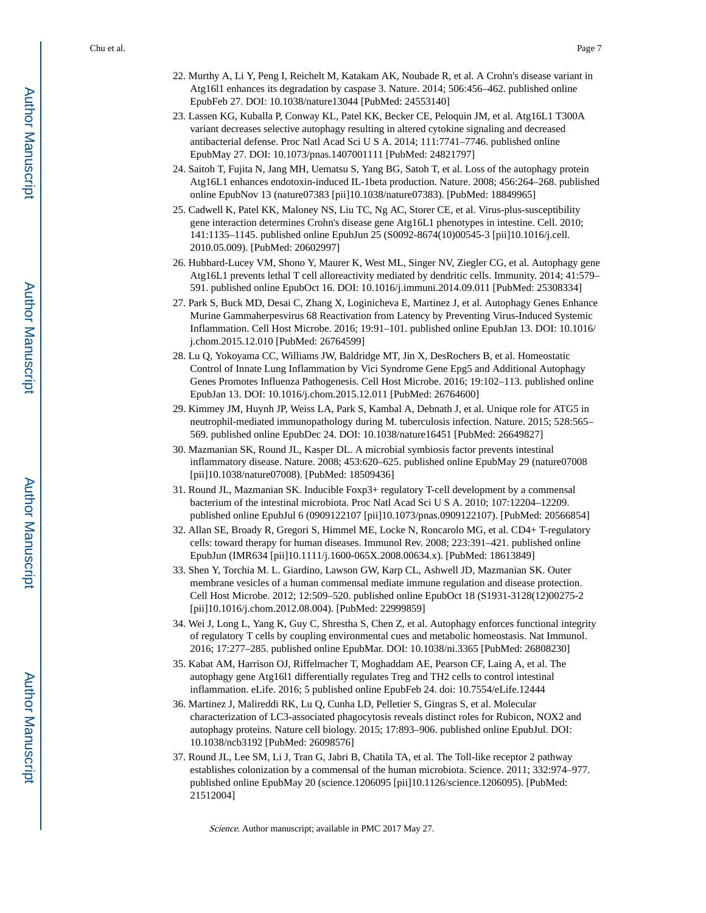- 22. Murthy A, Li Y, Peng I, Reichelt M, Katakam AK, Noubade R, et al. A Crohn's disease variant in Atg16l1 enhances its degradation by caspase 3. Nature. 2014; 506:456–462. published online EpubFeb 27. DOI: 10.1038/nature13044 [PubMed: 24553140]
- 23. Lassen KG, Kuballa P, Conway KL, Patel KK, Becker CE, Peloquin JM, et al. Atg16L1 T300A variant decreases selective autophagy resulting in altered cytokine signaling and decreased antibacterial defense. Proc Natl Acad Sci U S A. 2014; 111:7741–7746. published online EpubMay 27. DOI: 10.1073/pnas.1407001111 [PubMed: 24821797]
- 24. Saitoh T, Fujita N, Jang MH, Uematsu S, Yang BG, Satoh T, et al. Loss of the autophagy protein Atg16L1 enhances endotoxin-induced IL-1beta production. Nature. 2008; 456:264–268. published online EpubNov 13 (nature07383 [pii]10.1038/nature07383). [PubMed: 18849965]
- 25. Cadwell K, Patel KK, Maloney NS, Liu TC, Ng AC, Storer CE, et al. Virus-plus-susceptibility gene interaction determines Crohn's disease gene Atg16L1 phenotypes in intestine. Cell. 2010; 141:1135–1145. published online EpubJun 25 (S0092-8674(10)00545-3 [pii]10.1016/j.cell. 2010.05.009). [PubMed: 20602997]
- 26. Hubbard-Lucey VM, Shono Y, Maurer K, West ML, Singer NV, Ziegler CG, et al. Autophagy gene Atg16L1 prevents lethal T cell alloreactivity mediated by dendritic cells. Immunity. 2014; 41:579– 591. published online EpubOct 16. DOI: 10.1016/j.immuni.2014.09.011 [PubMed: 25308334]
- 27. Park S, Buck MD, Desai C, Zhang X, Loginicheva E, Martinez J, et al. Autophagy Genes Enhance Murine Gammaherpesvirus 68 Reactivation from Latency by Preventing Virus-Induced Systemic Inflammation. Cell Host Microbe. 2016; 19:91–101. published online EpubJan 13. DOI: 10.1016/ j.chom.2015.12.010 [PubMed: 26764599]
- 28. Lu Q, Yokoyama CC, Williams JW, Baldridge MT, Jin X, DesRochers B, et al. Homeostatic Control of Innate Lung Inflammation by Vici Syndrome Gene Epg5 and Additional Autophagy Genes Promotes Influenza Pathogenesis. Cell Host Microbe. 2016; 19:102–113. published online EpubJan 13. DOI: 10.1016/j.chom.2015.12.011 [PubMed: 26764600]
- 29. Kimmey JM, Huynh JP, Weiss LA, Park S, Kambal A, Debnath J, et al. Unique role for ATG5 in neutrophil-mediated immunopathology during M. tuberculosis infection. Nature. 2015; 528:565– 569. published online EpubDec 24. DOI: 10.1038/nature16451 [PubMed: 26649827]
- 30. Mazmanian SK, Round JL, Kasper DL. A microbial symbiosis factor prevents intestinal inflammatory disease. Nature. 2008; 453:620–625. published online EpubMay 29 (nature07008 [pii]10.1038/nature07008). [PubMed: 18509436]
- 31. Round JL, Mazmanian SK. Inducible Foxp3+ regulatory T-cell development by a commensal bacterium of the intestinal microbiota. Proc Natl Acad Sci U S A. 2010; 107:12204–12209. published online EpubJul 6 (0909122107 [pii]10.1073/pnas.0909122107). [PubMed: 20566854]
- 32. Allan SE, Broady R, Gregori S, Himmel ME, Locke N, Roncarolo MG, et al. CD4+ T-regulatory cells: toward therapy for human diseases. Immunol Rev. 2008; 223:391–421. published online EpubJun (IMR634 [pii]10.1111/j.1600-065X.2008.00634.x). [PubMed: 18613849]
- 33. Shen Y, Torchia M. L. Giardino, Lawson GW, Karp CL, Ashwell JD, Mazmanian SK. Outer membrane vesicles of a human commensal mediate immune regulation and disease protection. Cell Host Microbe. 2012; 12:509–520. published online EpubOct 18 (S1931-3128(12)00275-2 [pii]10.1016/j.chom.2012.08.004). [PubMed: 22999859]
- 34. Wei J, Long L, Yang K, Guy C, Shrestha S, Chen Z, et al. Autophagy enforces functional integrity of regulatory T cells by coupling environmental cues and metabolic homeostasis. Nat Immunol. 2016; 17:277–285. published online EpubMar. DOI: 10.1038/ni.3365 [PubMed: 26808230]
- 35. Kabat AM, Harrison OJ, Riffelmacher T, Moghaddam AE, Pearson CF, Laing A, et al. The autophagy gene Atg16l1 differentially regulates Treg and TH2 cells to control intestinal inflammation. eLife. 2016; 5 published online EpubFeb 24. doi: 10.7554/eLife.12444
- 36. Martinez J, Malireddi RK, Lu Q, Cunha LD, Pelletier S, Gingras S, et al. Molecular characterization of LC3-associated phagocytosis reveals distinct roles for Rubicon, NOX2 and autophagy proteins. Nature cell biology. 2015; 17:893–906. published online EpubJul. DOI: 10.1038/ncb3192 [PubMed: 26098576]
- 37. Round JL, Lee SM, Li J, Tran G, Jabri B, Chatila TA, et al. The Toll-like receptor 2 pathway establishes colonization by a commensal of the human microbiota. Science. 2011; 332:974–977. published online EpubMay 20 (science.1206095 [pii]10.1126/science.1206095). [PubMed: 21512004]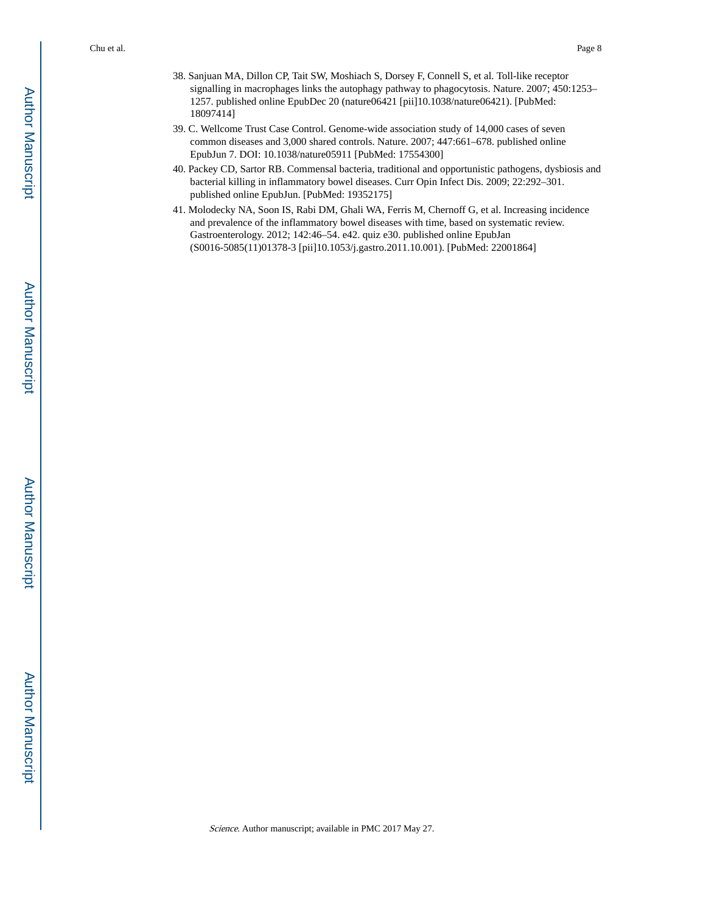- 38. Sanjuan MA, Dillon CP, Tait SW, Moshiach S, Dorsey F, Connell S, et al. Toll-like receptor signalling in macrophages links the autophagy pathway to phagocytosis. Nature. 2007; 450:1253– 1257. published online EpubDec 20 (nature06421 [pii]10.1038/nature06421). [PubMed: 18097414]
- 39. C. Wellcome Trust Case Control. Genome-wide association study of 14,000 cases of seven common diseases and 3,000 shared controls. Nature. 2007; 447:661–678. published online EpubJun 7. DOI: 10.1038/nature05911 [PubMed: 17554300]
- 40. Packey CD, Sartor RB. Commensal bacteria, traditional and opportunistic pathogens, dysbiosis and bacterial killing in inflammatory bowel diseases. Curr Opin Infect Dis. 2009; 22:292–301. published online EpubJun. [PubMed: 19352175]
- 41. Molodecky NA, Soon IS, Rabi DM, Ghali WA, Ferris M, Chernoff G, et al. Increasing incidence and prevalence of the inflammatory bowel diseases with time, based on systematic review. Gastroenterology. 2012; 142:46–54. e42. quiz e30. published online EpubJan (S0016-5085(11)01378-3 [pii]10.1053/j.gastro.2011.10.001). [PubMed: 22001864]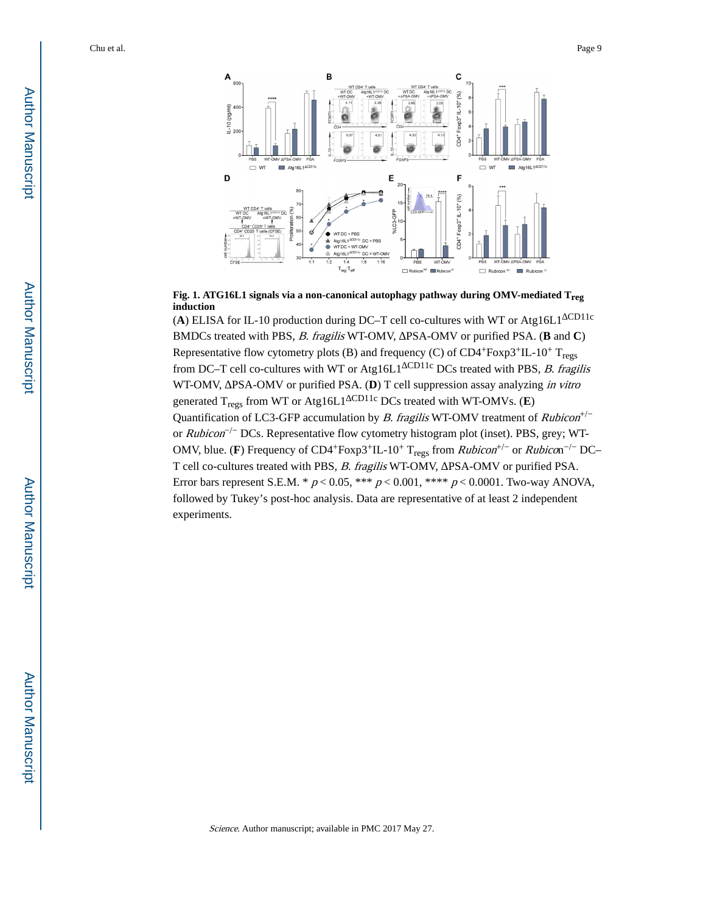

**Fig. 1. ATG16L1 signals via a non-canonical autophagy pathway during OMV-mediated Treg induction**

(**A**) ELISA for IL-10 production during DC–T cell co-cultures with WT or Atg16L1 CD11c BMDCs treated with PBS, B. fragilis WT-OMV, PSA-OMV or purified PSA. (**B** and **C**) Representative flow cytometry plots (B) and frequency (C) of  $CD4+Foxp3+IL-10+T<sub>reos</sub>$ from DC–T cell co-cultures with WT or Atg16L1<sup>CD11c</sup> DCs treated with PBS, *B. fragilis* WT-OMV, PSA-OMV or purified PSA. (D) T cell suppression assay analyzing in vitro generated T<sub>regs</sub> from WT or Atg16L1<sup>CD11c</sup> DCs treated with WT-OMVs. (**E**) Quantification of LC3-GFP accumulation by *B. fragilis* WT-OMV treatment of  $Rubicon<sup>+/</sup>$ or  $Rubicon^{-/-}$  DCs. Representative flow cytometry histogram plot (inset). PBS, grey; WT-OMV, blue. (F) Frequency of CD4<sup>+</sup>Foxp3<sup>+</sup>IL-10<sup>+</sup> T<sub>regs</sub> from *Rubicon*<sup>+/-</sup> or *Rubico*n<sup>-/-</sup> DC-T cell co-cultures treated with PBS, B. fragilis WT-OMV, PSA-OMV or purified PSA. Error bars represent S.E.M. \*  $p < 0.05$ , \*\*\*  $p < 0.001$ , \*\*\*\*  $p < 0.0001$ . Two-way ANOVA, followed by Tukey's post-hoc analysis. Data are representative of at least 2 independent experiments.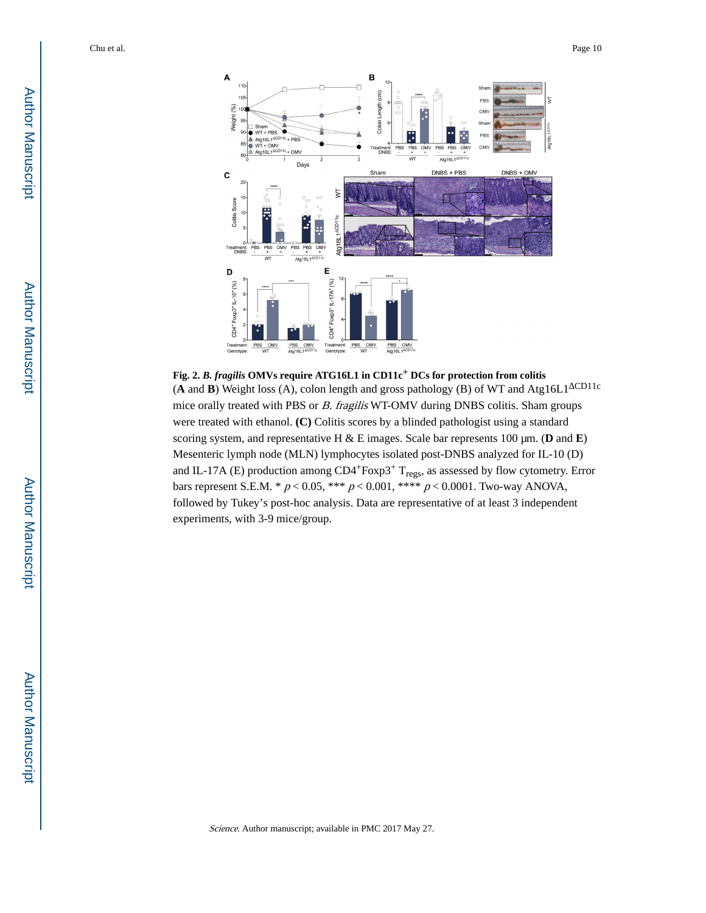

**Fig. 2.** *B. fragilis* **OMVs require ATG16L1 in CD11c+ DCs for protection from colitis** (**A** and **B**) Weight loss (A), colon length and gross pathology (B) of WT and Atg16L1<sup>CD11c</sup> mice orally treated with PBS or B. fragilis WT-OMV during DNBS colitis. Sham groups were treated with ethanol. **(C)** Colitis scores by a blinded pathologist using a standard scoring system, and representative H & E images. Scale bar represents 100 μm. (**D** and **E**) Mesenteric lymph node (MLN) lymphocytes isolated post-DNBS analyzed for IL-10 (D) and IL-17A (E) production among  $CD4+Foxp3+T_{regs}$ , as assessed by flow cytometry. Error bars represent S.E.M. \*  $p < 0.05,$  \*\*\*  $p < 0.001,$  \*\*\*\*  $p < 0.0001.$  Two-way ANOVA, followed by Tukey's post-hoc analysis. Data are representative of at least 3 independent experiments, with 3-9 mice/group.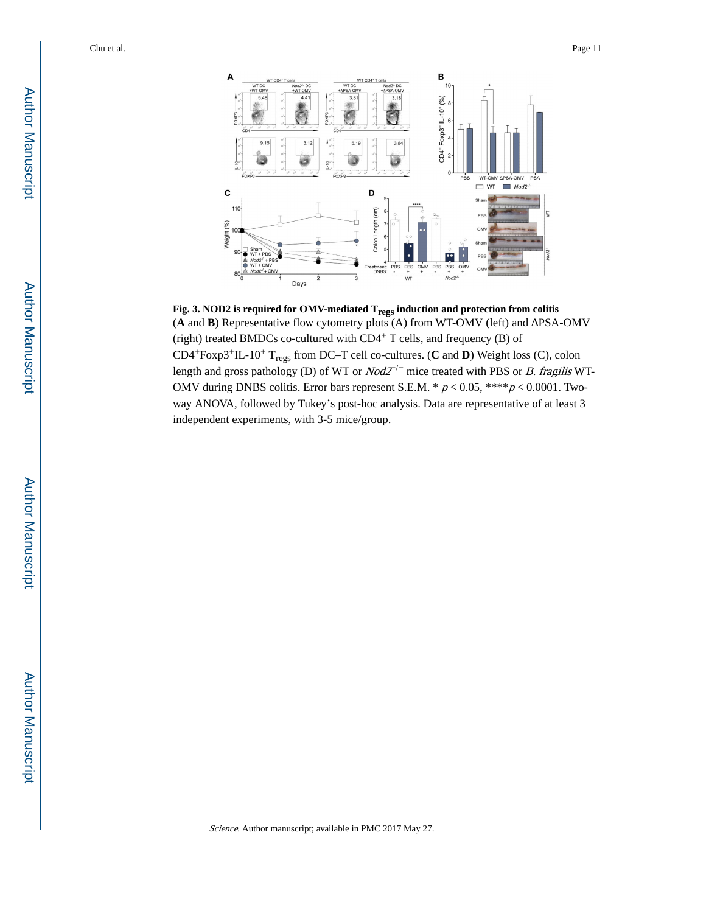

**Fig. 3. NOD2 is required for OMV-mediated Tregs induction and protection from colitis** (**A** and **B**) Representative flow cytometry plots (A) from WT-OMV (left) and PSA-OMV (right) treated BMDCs co-cultured with CD4+ T cells, and frequency (B) of CD4+Foxp3+IL-10+ Tregs from DC–T cell co-cultures. (**C** and **D**) Weight loss (C), colon length and gross pathology (D) of WT or  $Nod2^{-/-}$  mice treated with PBS or *B. fragilis* WT-OMV during DNBS colitis. Error bars represent S.E.M. \*  $p < 0.05$ , \*\*\*\* $p < 0.0001$ . Twoway ANOVA, followed by Tukey's post-hoc analysis. Data are representative of at least 3 independent experiments, with 3-5 mice/group.